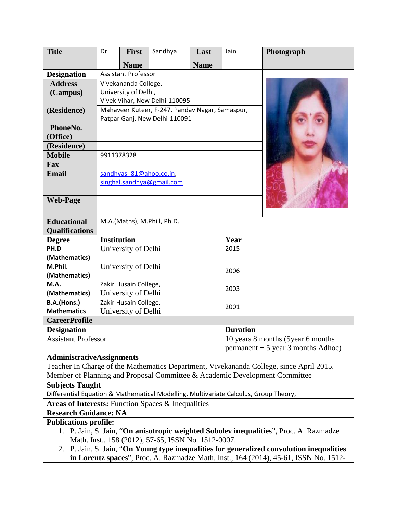| <b>Title</b>                                                                              | Dr.                                             | <b>First</b>            | Sandhya | Last                                                                         | Jain            | Photograph |  |
|-------------------------------------------------------------------------------------------|-------------------------------------------------|-------------------------|---------|------------------------------------------------------------------------------|-----------------|------------|--|
|                                                                                           |                                                 | <b>Name</b>             |         | <b>Name</b>                                                                  |                 |            |  |
| <b>Designation</b>                                                                        | <b>Assistant Professor</b>                      |                         |         |                                                                              |                 |            |  |
| <b>Address</b>                                                                            | Vivekananda College,                            |                         |         |                                                                              |                 |            |  |
| (Campus)                                                                                  | University of Delhi,                            |                         |         |                                                                              |                 |            |  |
|                                                                                           | Vivek Vihar, New Delhi-110095                   |                         |         |                                                                              |                 |            |  |
| (Residence)                                                                               | Mahaveer Kuteer, F-247, Pandav Nagar, Samaspur, |                         |         |                                                                              |                 |            |  |
|                                                                                           | Patpar Ganj, New Delhi-110091                   |                         |         |                                                                              |                 |            |  |
| PhoneNo.                                                                                  |                                                 |                         |         |                                                                              |                 |            |  |
| (Office)                                                                                  |                                                 |                         |         |                                                                              |                 |            |  |
| (Residence)                                                                               |                                                 |                         |         |                                                                              |                 |            |  |
| <b>Mobile</b>                                                                             | 9911378328                                      |                         |         |                                                                              |                 |            |  |
| <b>Fax</b>                                                                                |                                                 |                         |         |                                                                              |                 |            |  |
| <b>Email</b>                                                                              |                                                 | sandhyas 81@ahoo.co.in, |         |                                                                              |                 |            |  |
|                                                                                           | singhal.sandhya@gmail.com                       |                         |         |                                                                              |                 |            |  |
|                                                                                           |                                                 |                         |         |                                                                              |                 |            |  |
| <b>Web-Page</b>                                                                           |                                                 |                         |         |                                                                              |                 |            |  |
|                                                                                           |                                                 |                         |         |                                                                              |                 |            |  |
| <b>Educational</b>                                                                        | M.A.(Maths), M.Phill, Ph.D.                     |                         |         |                                                                              |                 |            |  |
| <b>Qualifications</b>                                                                     |                                                 |                         |         |                                                                              |                 |            |  |
| <b>Degree</b>                                                                             | <b>Institution</b>                              |                         |         |                                                                              | Year            |            |  |
| PH.D                                                                                      | University of Delhi                             |                         |         |                                                                              | 2015            |            |  |
| (Mathematics)                                                                             |                                                 |                         |         |                                                                              |                 |            |  |
| M.Phil.                                                                                   | University of Delhi                             |                         |         |                                                                              | 2006            |            |  |
| (Mathematics)                                                                             |                                                 |                         |         |                                                                              |                 |            |  |
| M.A.                                                                                      | Zakir Husain College,<br>2003                   |                         |         |                                                                              |                 |            |  |
| (Mathematics)                                                                             |                                                 | University of Delhi     |         |                                                                              |                 |            |  |
| B.A.(Hons.)                                                                               |                                                 | Zakir Husain College,   |         |                                                                              | 2001            |            |  |
| <b>Mathematics</b>                                                                        |                                                 | University of Delhi     |         |                                                                              |                 |            |  |
| <b>CareerProfile</b>                                                                      |                                                 |                         |         |                                                                              |                 |            |  |
| <b>Designation</b><br><b>Assistant Professor</b>                                          |                                                 |                         |         |                                                                              | <b>Duration</b> |            |  |
|                                                                                           |                                                 |                         |         | 10 years 8 months (5 year 6 months)<br>$permannent + 5$ year 3 months Adhoc) |                 |            |  |
|                                                                                           | <b>AdministrativeAssignments</b>                |                         |         |                                                                              |                 |            |  |
| Teacher In Charge of the Mathematics Department, Vivekananda College, since April 2015.   |                                                 |                         |         |                                                                              |                 |            |  |
| Member of Planning and Proposal Committee & Academic Development Committee                |                                                 |                         |         |                                                                              |                 |            |  |
| <b>Subjects Taught</b>                                                                    |                                                 |                         |         |                                                                              |                 |            |  |
| Differential Equation & Mathematical Modelling, Multivariate Calculus, Group Theory,      |                                                 |                         |         |                                                                              |                 |            |  |
| Areas of Interests: Function Spaces & Inequalities                                        |                                                 |                         |         |                                                                              |                 |            |  |
| <b>Research Guidance: NA</b>                                                              |                                                 |                         |         |                                                                              |                 |            |  |
| <b>Publications profile:</b>                                                              |                                                 |                         |         |                                                                              |                 |            |  |
| 1. P. Jain, S. Jain, "On anisotropic weighted Sobolev inequalities", Proc. A. Razmadze    |                                                 |                         |         |                                                                              |                 |            |  |
| Math. Inst., 158 (2012), 57-65, ISSN No. 1512-0007.                                       |                                                 |                         |         |                                                                              |                 |            |  |
| 2. P. Jain, S. Jain, "On Young type inequalities for generalized convolution inequalities |                                                 |                         |         |                                                                              |                 |            |  |
| in Lorentz spaces", Proc. A. Razmadze Math. Inst., 164 (2014), 45-61, ISSN No. 1512-      |                                                 |                         |         |                                                                              |                 |            |  |